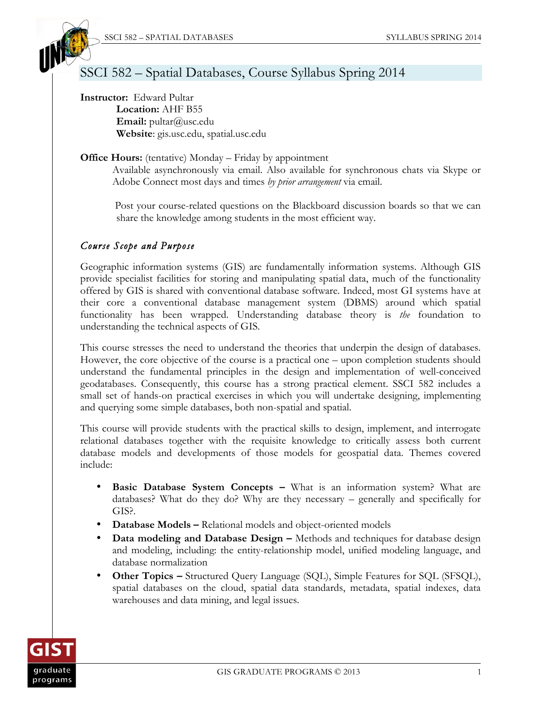

# SSCI 582 – Spatial Databases, Course Syllabus Spring 2014

**Instructor:** Edward Pultar **Location:** AHF B55 **Email:** pultar@usc.edu **Website**: gis.usc.edu, spatial.usc.edu

## **Office Hours:** (tentative) Monday – Friday by appointment

Available asynchronously via email. Also available for synchronous chats via Skype or Adobe Connect most days and times *by prior arrangement* via email.

Post your course-related questions on the Blackboard discussion boards so that we can share the knowledge among students in the most efficient way.

## *Course Scope and Purpose*

Geographic information systems (GIS) are fundamentally information systems. Although GIS provide specialist facilities for storing and manipulating spatial data, much of the functionality offered by GIS is shared with conventional database software. Indeed, most GI systems have at their core a conventional database management system (DBMS) around which spatial functionality has been wrapped. Understanding database theory is *the* foundation to understanding the technical aspects of GIS.

This course stresses the need to understand the theories that underpin the design of databases. However, the core objective of the course is a practical one – upon completion students should understand the fundamental principles in the design and implementation of well-conceived geodatabases. Consequently, this course has a strong practical element. SSCI 582 includes a small set of hands-on practical exercises in which you will undertake designing, implementing and querying some simple databases, both non-spatial and spatial.

This course will provide students with the practical skills to design, implement, and interrogate relational databases together with the requisite knowledge to critically assess both current database models and developments of those models for geospatial data. Themes covered include:

- **Basic Database System Concepts What is an information system? What are** databases? What do they do? Why are they necessary – generally and specifically for GIS?.
- **Database Models –** Relational models and object-oriented models
- **Data modeling and Database Design –** Methods and techniques for database design and modeling, including: the entity-relationship model, unified modeling language, and database normalization
- **Other Topics –** Structured Query Language (SQL), Simple Features for SQL (SFSQL), spatial databases on the cloud, spatial data standards, metadata, spatial indexes, data warehouses and data mining, and legal issues.

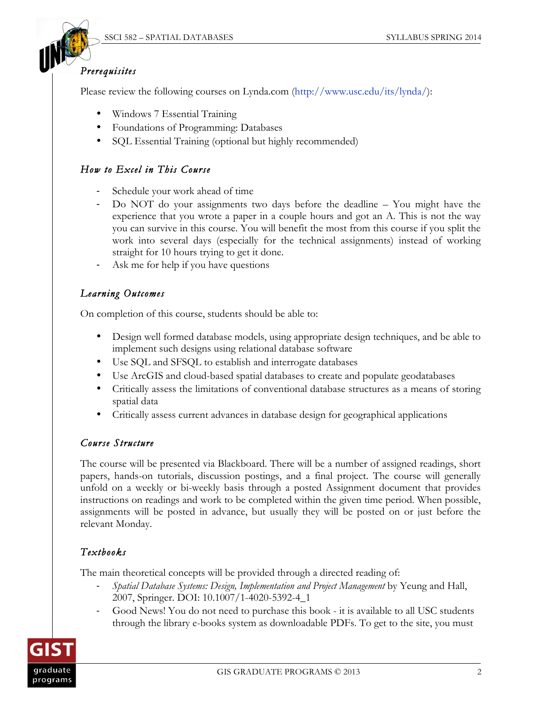

## *Prerequisites*

Please review the following courses on Lynda.com (http://www.usc.edu/its/lynda/):

- Windows 7 Essential Training
- Foundations of Programming: Databases
- SQL Essential Training (optional but highly recommended)

# *How to Excel in This Course*

- Schedule your work ahead of time
- Do NOT do your assignments two days before the deadline You might have the experience that you wrote a paper in a couple hours and got an A. This is not the way you can survive in this course. You will benefit the most from this course if you split the work into several days (especially for the technical assignments) instead of working straight for 10 hours trying to get it done.
- Ask me for help if you have questions

# *Learning Outcomes*

On completion of this course, students should be able to:

- Design well formed database models, using appropriate design techniques, and be able to implement such designs using relational database software
- Use SQL and SFSQL to establish and interrogate databases
- Use ArcGIS and cloud-based spatial databases to create and populate geodatabases
- Critically assess the limitations of conventional database structures as a means of storing spatial data
- Critically assess current advances in database design for geographical applications

# *Course Structure*

The course will be presented via Blackboard. There will be a number of assigned readings, short papers, hands-on tutorials, discussion postings, and a final project. The course will generally unfold on a weekly or bi-weekly basis through a posted Assignment document that provides instructions on readings and work to be completed within the given time period. When possible, assignments will be posted in advance, but usually they will be posted on or just before the relevant Monday.

# *Textbooks*

The main theoretical concepts will be provided through a directed reading of:

- *Spatial Database Systems: Design, Implementation and Project Management* by Yeung and Hall, 2007, Springer. DOI: 10.1007/1-4020-5392-4\_1
- Good News! You do not need to purchase this book it is available to all USC students through the library e-books system as downloadable PDFs. To get to the site, you must

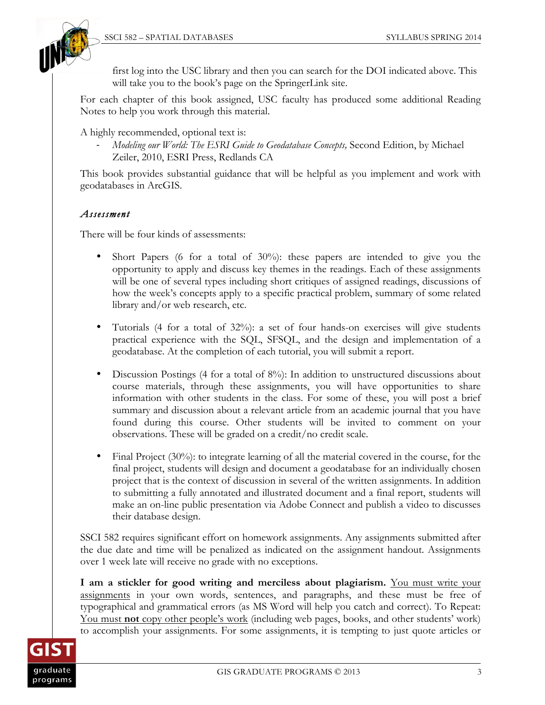

first log into the USC library and then you can search for the DOI indicated above. This will take you to the book's page on the SpringerLink site.

For each chapter of this book assigned, USC faculty has produced some additional Reading Notes to help you work through this material.

A highly recommended, optional text is:

- *Modeling our World: The ESRI Guide to Geodatabase Concepts,* Second Edition, by Michael Zeiler, 2010, ESRI Press, Redlands CA

This book provides substantial guidance that will be helpful as you implement and work with geodatabases in ArcGIS.

## *Assessment*

There will be four kinds of assessments:

- Short Papers (6 for a total of  $30\%$ ): these papers are intended to give you the opportunity to apply and discuss key themes in the readings. Each of these assignments will be one of several types including short critiques of assigned readings, discussions of how the week's concepts apply to a specific practical problem, summary of some related library and/or web research, etc.
- Tutorials (4 for a total of 32%): a set of four hands-on exercises will give students practical experience with the SQL, SFSQL, and the design and implementation of a geodatabase. At the completion of each tutorial, you will submit a report.
- Discussion Postings (4 for a total of 8%): In addition to unstructured discussions about course materials, through these assignments, you will have opportunities to share information with other students in the class. For some of these, you will post a brief summary and discussion about a relevant article from an academic journal that you have found during this course. Other students will be invited to comment on your observations. These will be graded on a credit/no credit scale.
- Final Project (30%): to integrate learning of all the material covered in the course, for the final project, students will design and document a geodatabase for an individually chosen project that is the context of discussion in several of the written assignments. In addition to submitting a fully annotated and illustrated document and a final report, students will make an on-line public presentation via Adobe Connect and publish a video to discusses their database design.

SSCI 582 requires significant effort on homework assignments. Any assignments submitted after the due date and time will be penalized as indicated on the assignment handout. Assignments over 1 week late will receive no grade with no exceptions.

**I am a stickler for good writing and merciless about plagiarism.** You must write your assignments in your own words, sentences, and paragraphs, and these must be free of typographical and grammatical errors (as MS Word will help you catch and correct). To Repeat: You must **not** copy other people's work (including web pages, books, and other students' work) to accomplish your assignments. For some assignments, it is tempting to just quote articles or

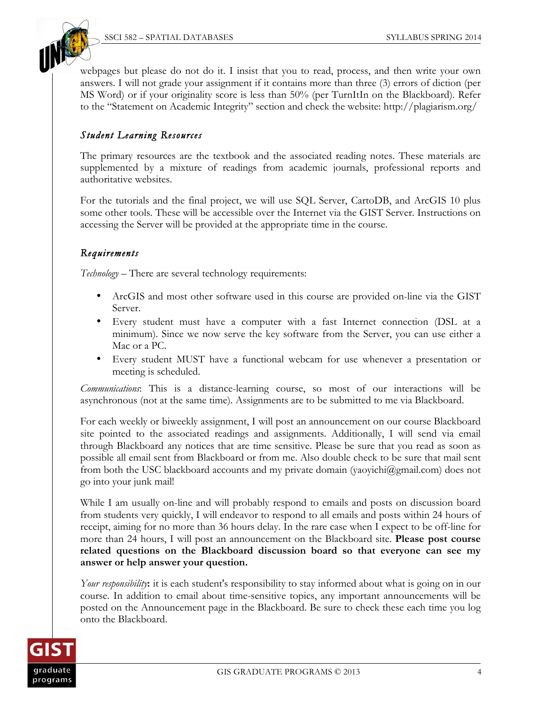



webpages but please do not do it. I insist that you to read, process, and then write your own answers. I will not grade your assignment if it contains more than three (3) errors of diction (per MS Word) or if your originality score is less than 50% (per TurnItIn on the Blackboard). Refer to the "Statement on Academic Integrity" section and check the website: http://plagiarism.org/

## *Student Learning Resources*

The primary resources are the textbook and the associated reading notes. These materials are supplemented by a mixture of readings from academic journals, professional reports and authoritative websites.

For the tutorials and the final project, we will use SQL Server, CartoDB, and ArcGIS 10 plus some other tools. These will be accessible over the Internet via the GIST Server. Instructions on accessing the Server will be provided at the appropriate time in the course.

#### *Requirements*

*Technology –* There are several technology requirements:

- ArcGIS and most other software used in this course are provided on-line via the GIST Server.
- Every student must have a computer with a fast Internet connection (DSL at a minimum). Since we now serve the key software from the Server, you can use either a Mac or a PC.
- Every student MUST have a functional webcam for use whenever a presentation or meeting is scheduled.

*Communications*: This is a distance-learning course, so most of our interactions will be asynchronous (not at the same time). Assignments are to be submitted to me via Blackboard.

For each weekly or biweekly assignment, I will post an announcement on our course Blackboard site pointed to the associated readings and assignments. Additionally, I will send via email through Blackboard any notices that are time sensitive. Please be sure that you read as soon as possible all email sent from Blackboard or from me. Also double check to be sure that mail sent from both the USC blackboard accounts and my private domain (yaoyichi@gmail.com) does not go into your junk mail!

While I am usually on-line and will probably respond to emails and posts on discussion board from students very quickly, I will endeavor to respond to all emails and posts within 24 hours of receipt, aiming for no more than 36 hours delay. In the rare case when I expect to be off-line for more than 24 hours, I will post an announcement on the Blackboard site. **Please post course related questions on the Blackboard discussion board so that everyone can see my answer or help answer your question.**

*Your responsibility*: it is each student's responsibility to stay informed about what is going on in our course. In addition to email about time-sensitive topics, any important announcements will be posted on the Announcement page in the Blackboard. Be sure to check these each time you log onto the Blackboard.

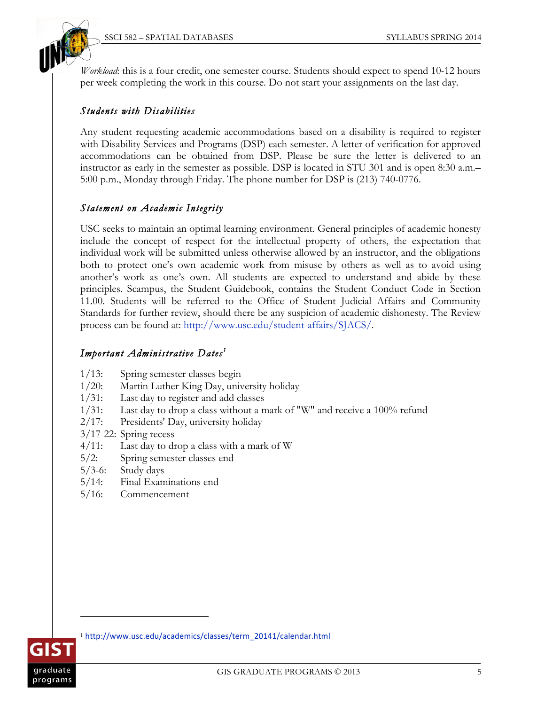

*Workload*: this is a four credit, one semester course. Students should expect to spend 10-12 hours per week completing the work in this course. Do not start your assignments on the last day.

#### *Students with Disabilities*

Any student requesting academic accommodations based on a disability is required to register with Disability Services and Programs (DSP) each semester. A letter of verification for approved accommodations can be obtained from DSP. Please be sure the letter is delivered to an instructor as early in the semester as possible. DSP is located in STU 301 and is open 8:30 a.m.– 5:00 p.m., Monday through Friday. The phone number for DSP is (213) 740-0776.

#### *Statement on Academic Integrity*

USC seeks to maintain an optimal learning environment. General principles of academic honesty include the concept of respect for the intellectual property of others, the expectation that individual work will be submitted unless otherwise allowed by an instructor, and the obligations both to protect one's own academic work from misuse by others as well as to avoid using another's work as one's own. All students are expected to understand and abide by these principles. Scampus, the Student Guidebook, contains the Student Conduct Code in Section 11.00. Students will be referred to the Office of Student Judicial Affairs and Community Standards for further review, should there be any suspicion of academic dishonesty. The Review process can be found at: http://www.usc.edu/student-affairs/SJACS/.

## *Important Administrative Dates <sup>1</sup>*

- 1/13: Spring semester classes begin
- 1/20: Martin Luther King Day, university holiday
- 1/31: Last day to register and add classes
- 1/31: Last day to drop a class without a mark of "W" and receive a 100% refund
- 2/17: Presidents' Day, university holiday
- 3/17-22: Spring recess
- 4/11: Last day to drop a class with a mark of W
- 5/2: Spring semester classes end
- 5/3-6: Study days
- 5/14: Final Examinations end
- 5/16: Commencement



-

<sup>1</sup> http://www.usc.edu/academics/classes/term\_20141/calendar.html